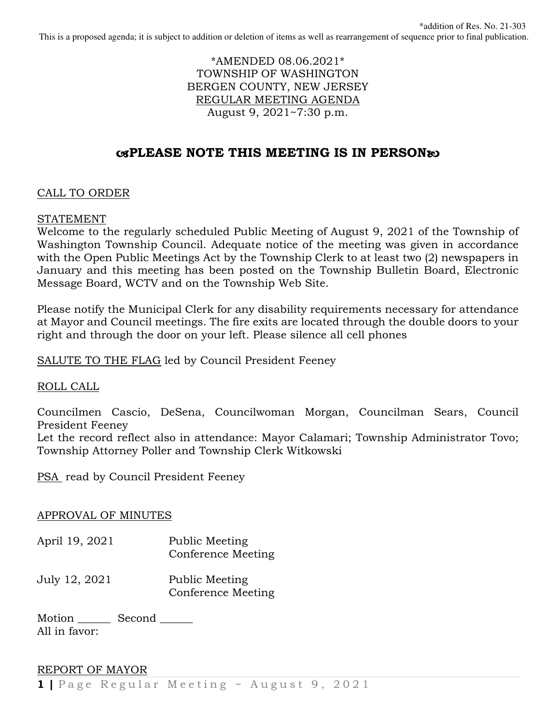\*AMENDED 08.06.2021\* TOWNSHIP OF WASHINGTON BERGEN COUNTY, NEW JERSEY REGULAR MEETING AGENDA August 9, 2021~7:30 p.m.

# -**PLEASE NOTE THIS MEETING IS IN PERSON**

## CALL TO ORDER

## STATEMENT

Welcome to the regularly scheduled Public Meeting of August 9, 2021 of the Township of Washington Township Council. Adequate notice of the meeting was given in accordance with the Open Public Meetings Act by the Township Clerk to at least two (2) newspapers in January and this meeting has been posted on the Township Bulletin Board, Electronic Message Board, WCTV and on the Township Web Site.

Please notify the Municipal Clerk for any disability requirements necessary for attendance at Mayor and Council meetings. The fire exits are located through the double doors to your right and through the door on your left. Please silence all cell phones

SALUTE TO THE FLAG led by Council President Feeney

ROLL CALL

Councilmen Cascio, DeSena, Councilwoman Morgan, Councilman Sears, Council President Feeney

Let the record reflect also in attendance: Mayor Calamari; Township Administrator Tovo; Township Attorney Poller and Township Clerk Witkowski

PSA read by Council President Feeney

## APPROVAL OF MINUTES

- April 19, 2021 Public Meeting Conference Meeting
- July 12, 2021 Public Meeting Conference Meeting

Motion \_\_\_\_\_\_\_\_ Second \_\_\_\_\_\_ All in favor:

# REPORT OF MAYOR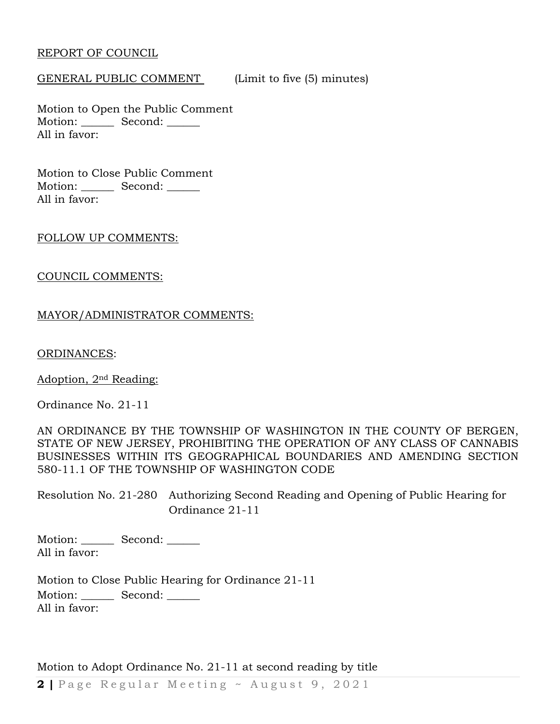### REPORT OF COUNCIL

#### GENERAL PUBLIC COMMENT (Limit to five (5) minutes)

Motion to Open the Public Comment Motion: Second: \_\_\_\_\_\_ All in favor:

Motion to Close Public Comment Motion: Second: All in favor:

#### FOLLOW UP COMMENTS:

#### COUNCIL COMMENTS:

## MAYOR/ADMINISTRATOR COMMENTS:

ORDINANCES:

Adoption, 2nd Reading:

Ordinance No. 21-11

AN ORDINANCE BY THE TOWNSHIP OF WASHINGTON IN THE COUNTY OF BERGEN, STATE OF NEW JERSEY, PROHIBITING THE OPERATION OF ANY CLASS OF CANNABIS BUSINESSES WITHIN ITS GEOGRAPHICAL BOUNDARIES AND AMENDING SECTION 580-11.1 OF THE TOWNSHIP OF WASHINGTON CODE

Resolution No. 21-280 Authorizing Second Reading and Opening of Public Hearing for Ordinance 21-11

Motion: Second: All in favor:

Motion to Close Public Hearing for Ordinance 21-11 Motion: Second: All in favor:

Motion to Adopt Ordinance No. 21-11 at second reading by title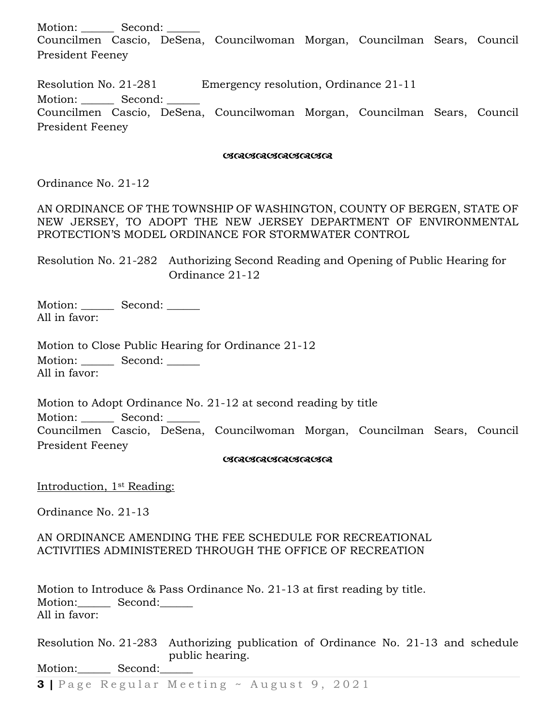Motion: Second: Councilmen Cascio, DeSena, Councilwoman Morgan, Councilman Sears, Council President Feeney

Resolution No. 21-281 Emergency resolution, Ordinance 21-11 Motion: \_\_\_\_\_\_ Second: \_\_\_\_\_\_ Councilmen Cascio, DeSena, Councilwoman Morgan, Councilman Sears, Council President Feeney

# *RARARARARA RA*

Ordinance No. 21-12

AN ORDINANCE OF THE TOWNSHIP OF WASHINGTON, COUNTY OF BERGEN, STATE OF NEW JERSEY, TO ADOPT THE NEW JERSEY DEPARTMENT OF ENVIRONMENTAL PROTECTION'S MODEL ORDINANCE FOR STORMWATER CONTROL

Resolution No. 21-282 Authorizing Second Reading and Opening of Public Hearing for Ordinance 21-12

Motion: Second: \_\_\_\_\_\_ All in favor:

Motion to Close Public Hearing for Ordinance 21-12 Motion: Second: \_\_\_\_\_\_ All in favor:

Motion to Adopt Ordinance No. 21-12 at second reading by title Motion: Second: Councilmen Cascio, DeSena, Councilwoman Morgan, Councilman Sears, Council President Feeney

# *RARARARARA RA*

Introduction, 1st Reading:

Ordinance No. 21-13

#### AN ORDINANCE AMENDING THE FEE SCHEDULE FOR RECREATIONAL ACTIVITIES ADMINISTERED THROUGH THE OFFICE OF RECREATION

Motion to Introduce & Pass Ordinance No. 21-13 at first reading by title. Motion: Second: All in favor:

Resolution No. 21-283 Authorizing publication of Ordinance No. 21-13 and schedule public hearing. Motion: Second: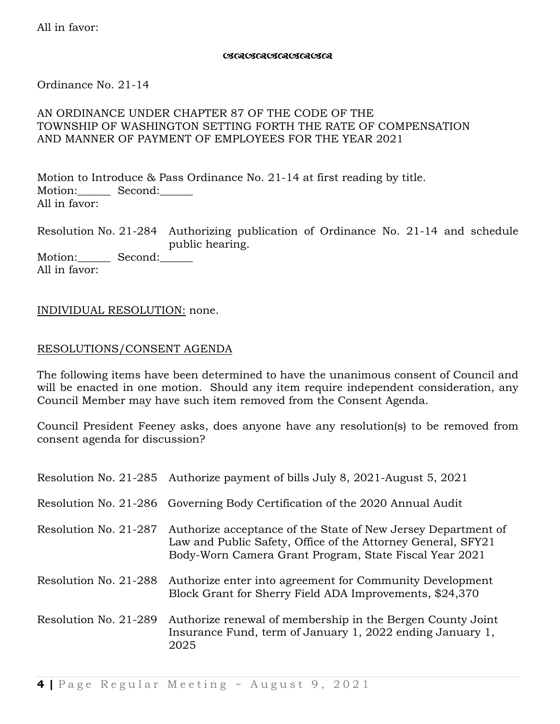# *RARARARARA RA*

Ordinance No. 21-14

# AN ORDINANCE UNDER CHAPTER 87 OF THE CODE OF THE TOWNSHIP OF WASHINGTON SETTING FORTH THE RATE OF COMPENSATION AND MANNER OF PAYMENT OF EMPLOYEES FOR THE YEAR 2021

Motion to Introduce & Pass Ordinance No. 21-14 at first reading by title. Motion:\_\_\_\_\_\_\_\_ Second:\_\_\_\_\_\_ All in favor:

Resolution No. 21-284 Authorizing publication of Ordinance No. 21-14 and schedule public hearing.

Motion: Second: All in favor:

# INDIVIDUAL RESOLUTION: none.

## RESOLUTIONS/CONSENT AGENDA

The following items have been determined to have the unanimous consent of Council and will be enacted in one motion. Should any item require independent consideration, any Council Member may have such item removed from the Consent Agenda.

Council President Feeney asks, does anyone have any resolution(s) to be removed from consent agenda for discussion?

|                       | Resolution No. 21-285 Authorize payment of bills July 8, 2021-August 5, 2021                                                                                                            |
|-----------------------|-----------------------------------------------------------------------------------------------------------------------------------------------------------------------------------------|
|                       | Resolution No. 21-286 Governing Body Certification of the 2020 Annual Audit                                                                                                             |
| Resolution No. 21-287 | Authorize acceptance of the State of New Jersey Department of<br>Law and Public Safety, Office of the Attorney General, SFY21<br>Body-Worn Camera Grant Program, State Fiscal Year 2021 |
| Resolution No. 21-288 | Authorize enter into agreement for Community Development<br>Block Grant for Sherry Field ADA Improvements, \$24,370                                                                     |
| Resolution No. 21-289 | Authorize renewal of membership in the Bergen County Joint<br>Insurance Fund, term of January 1, 2022 ending January 1,<br>2025                                                         |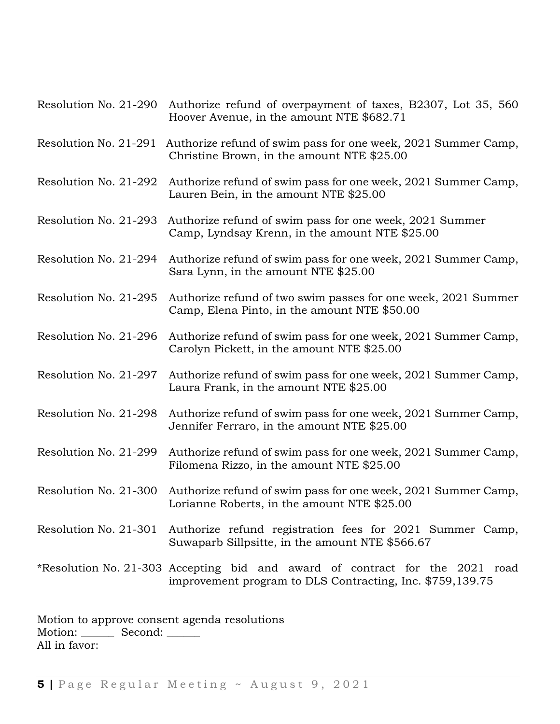| Resolution No. 21-290 | Authorize refund of overpayment of taxes, B2307, Lot 35, 560<br>Hoover Avenue, in the amount NTE \$682.71                                 |
|-----------------------|-------------------------------------------------------------------------------------------------------------------------------------------|
| Resolution No. 21-291 | Authorize refund of swim pass for one week, 2021 Summer Camp,<br>Christine Brown, in the amount NTE \$25.00                               |
| Resolution No. 21-292 | Authorize refund of swim pass for one week, 2021 Summer Camp,<br>Lauren Bein, in the amount NTE \$25.00                                   |
| Resolution No. 21-293 | Authorize refund of swim pass for one week, 2021 Summer<br>Camp, Lyndsay Krenn, in the amount NTE \$25.00                                 |
| Resolution No. 21-294 | Authorize refund of swim pass for one week, 2021 Summer Camp,<br>Sara Lynn, in the amount NTE \$25.00                                     |
| Resolution No. 21-295 | Authorize refund of two swim passes for one week, 2021 Summer<br>Camp, Elena Pinto, in the amount NTE \$50.00                             |
| Resolution No. 21-296 | Authorize refund of swim pass for one week, 2021 Summer Camp,<br>Carolyn Pickett, in the amount NTE \$25.00                               |
| Resolution No. 21-297 | Authorize refund of swim pass for one week, 2021 Summer Camp,<br>Laura Frank, in the amount NTE \$25.00                                   |
| Resolution No. 21-298 | Authorize refund of swim pass for one week, 2021 Summer Camp,<br>Jennifer Ferraro, in the amount NTE \$25.00                              |
| Resolution No. 21-299 | Authorize refund of swim pass for one week, 2021 Summer Camp,<br>Filomena Rizzo, in the amount NTE \$25.00                                |
| Resolution No. 21-300 | Authorize refund of swim pass for one week, 2021 Summer Camp,<br>Lorianne Roberts, in the amount NTE \$25.00                              |
|                       | Resolution No. 21-301 Authorize refund registration fees for 2021 Summer Camp,<br>Suwaparb Sillpsitte, in the amount NTE \$566.67         |
|                       | *Resolution No. 21-303 Accepting bid and award of contract for the 2021 road<br>improvement program to DLS Contracting, Inc. \$759,139.75 |

Motion to approve consent agenda resolutions Motion: \_\_\_\_\_\_\_\_ Second: \_\_\_\_\_\_ All in favor: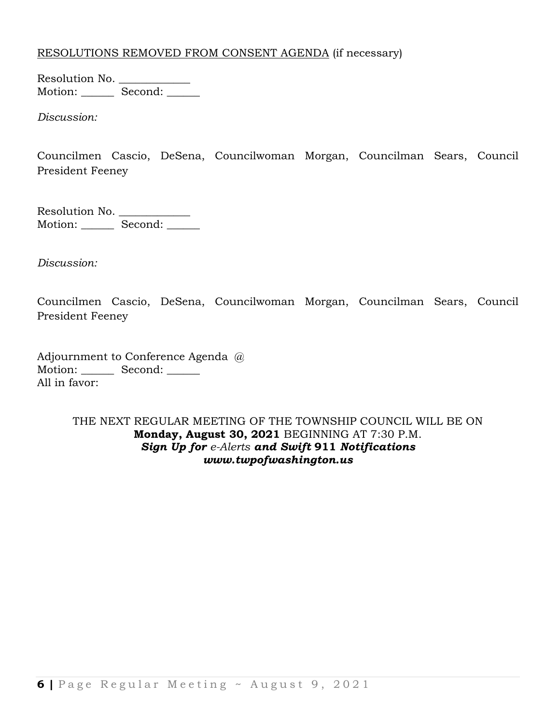# RESOLUTIONS REMOVED FROM CONSENT AGENDA (if necessary)

Resolution No. \_\_\_\_\_\_\_\_\_\_\_\_\_\_ Motion: \_\_\_\_\_\_\_ Second: \_\_\_\_\_\_

*Discussion:* 

Councilmen Cascio, DeSena, Councilwoman Morgan, Councilman Sears, Council President Feeney

Resolution No. \_\_\_\_\_\_\_\_\_\_\_\_\_ Motion: Second: \_\_\_\_\_\_

*Discussion:* 

Councilmen Cascio, DeSena, Councilwoman Morgan, Councilman Sears, Council President Feeney

Adjournment to Conference Agenda @ Motion: Second: \_\_\_\_\_\_ All in favor:

> THE NEXT REGULAR MEETING OF THE TOWNSHIP COUNCIL WILL BE ON **Monday, August 30, 2021** BEGINNING AT 7:30 P.M. *Sign Up for e-Alerts and Swift* **911** *Notifications www.twpofwashington.us*